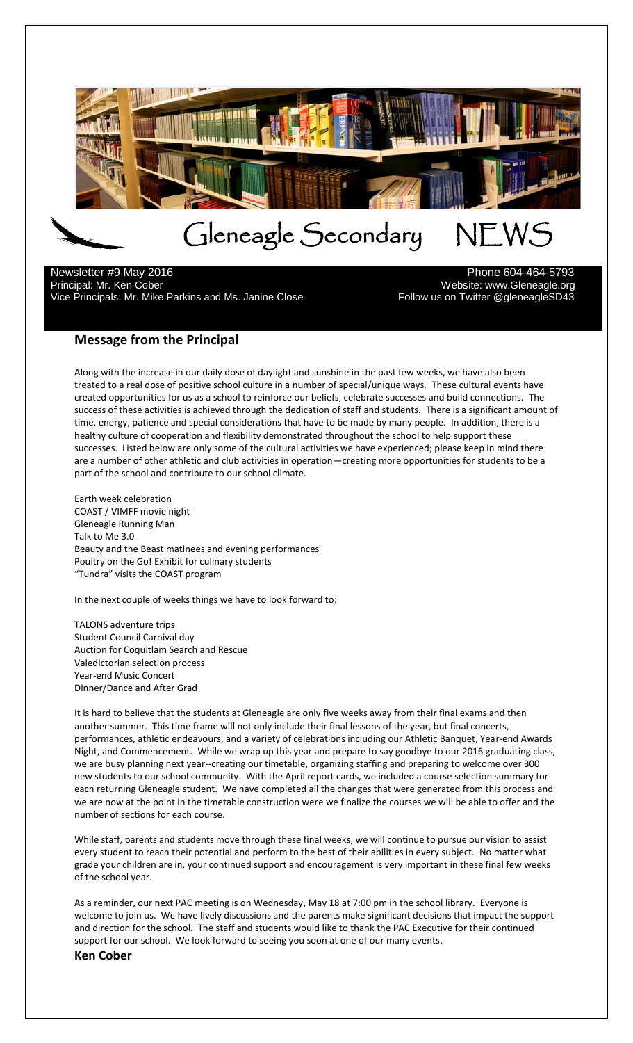

 $\overline{a}$ Newsletter #9 May 2016 **Phone 604-464-5793** Principal: Mr. Ken Cober<br>13-Vice Principals: Mr. Mike Parkins and Ms. Janine Close Mechanics of Sollow us on Twitter @gleneagleSD43 Vice Principals: Mr. Mike Parkins and Ms. Janine Close

# **Message from the Principal**

Along with the increase in our daily dose of daylight and sunshine in the past few weeks, we have also been treated to a real dose of positive school culture in a number of special/unique ways. These cultural events have created opportunities for us as a school to reinforce our beliefs, celebrate successes and build connections. The success of these activities is achieved through the dedication of staff and students. There is a significant amount of time, energy, patience and special considerations that have to be made by many people. In addition, there is a healthy culture of cooperation and flexibility demonstrated throughout the school to help support these successes. Listed below are only some of the cultural activities we have experienced; please keep in mind there are a number of other athletic and club activities in operation—creating more opportunities for students to be a part of the school and contribute to our school climate.

Earth week celebration COAST / VIMFF movie night Gleneagle Running Man Talk to Me 3.0 Beauty and the Beast matinees and evening performances Poultry on the Go! Exhibit for culinary students "Tundra" visits the COAST program

In the next couple of weeks things we have to look forward to:

TALONS adventure trips Student Council Carnival day Auction for Coquitlam Search and Rescue Valedictorian selection process Year-end Music Concert Dinner/Dance and After Grad

It is hard to believe that the students at Gleneagle are only five weeks away from their final exams and then another summer. This time frame will not only include their final lessons of the year, but final concerts, performances, athletic endeavours, and a variety of celebrations including our Athletic Banquet, Year-end Awards Night, and Commencement. While we wrap up this year and prepare to say goodbye to our 2016 graduating class, we are busy planning next year--creating our timetable, organizing staffing and preparing to welcome over 300 new students to our school community. With the April report cards, we included a course selection summary for each returning Gleneagle student. We have completed all the changes that were generated from this process and we are now at the point in the timetable construction were we finalize the courses we will be able to offer and the number of sections for each course.

While staff, parents and students move through these final weeks, we will continue to pursue our vision to assist every student to reach their potential and perform to the best of their abilities in every subject. No matter what grade your children are in, your continued support and encouragement is very important in these final few weeks of the school year.

As a reminder, our next PAC meeting is on Wednesday, May 18 at 7:00 pm in the school library. Everyone is welcome to join us. We have lively discussions and the parents make significant decisions that impact the support and direction for the school. The staff and students would like to thank the PAC Executive for their continued support for our school. We look forward to seeing you soon at one of our many events. **Ken Cober**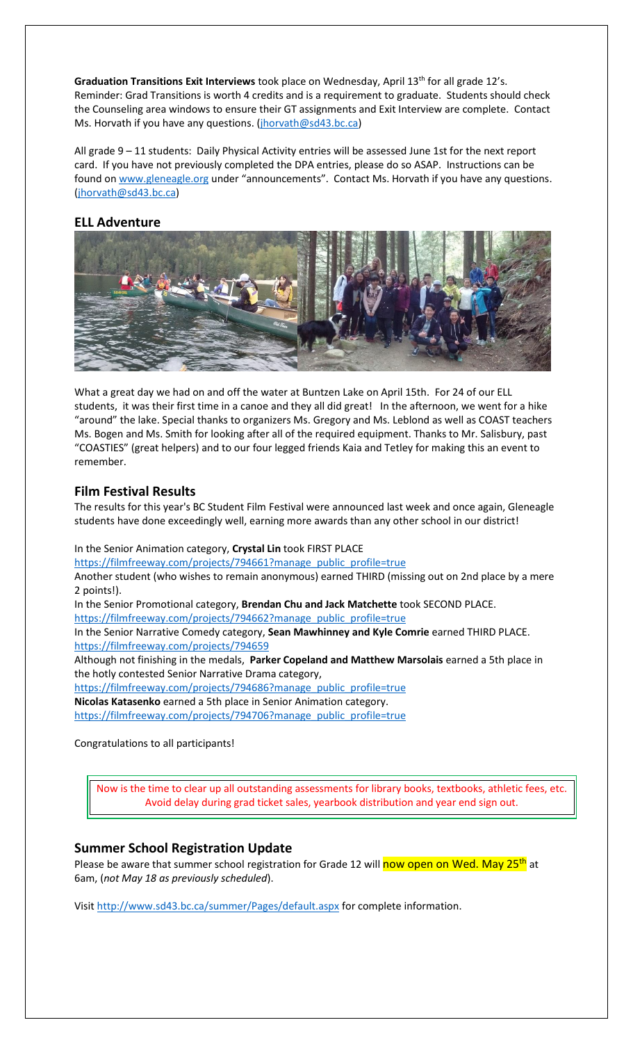Graduation Transitions Exit Interviews took place on Wednesday, April 13<sup>th</sup> for all grade 12's. Reminder: Grad Transitions is worth 4 credits and is a requirement to graduate. Students should check the Counseling area windows to ensure their GT assignments and Exit Interview are complete. Contact Ms. Horvath if you have any questions. [\(jhorvath@sd43.bc.ca\)](mailto:jhorvath@sd43.bc.ca)

All grade 9 – 11 students: Daily Physical Activity entries will be assessed June 1st for the next report card. If you have not previously completed the DPA entries, please do so ASAP. Instructions can be found on [www.gleneagle.org](http://www.gleneagle.org/) under "announcements". Contact Ms. Horvath if you have any questions. [\(jhorvath@sd43.bc.ca\)](mailto:jhorvath@sd43.bc.ca)

## **ELL Adventure**



What a great day we had on and off the water at Buntzen Lake on April 15th. For 24 of our ELL students, it was their first time in a canoe and they all did great! In the afternoon, we went for a hike "around" the lake. Special thanks to organizers Ms. Gregory and Ms. Leblond as well as COAST teachers Ms. Bogen and Ms. Smith for looking after all of the required equipment. Thanks to Mr. Salisbury, past "COASTIES" (great helpers) and to our four legged friends Kaia and Tetley for making this an event to remember.

### **Film Festival Results**

The results for this year's BC Student Film Festival were announced last week and once again, Gleneagle students have done exceedingly well, earning more awards than any other school in our district!

In the Senior Animation category, **Crystal Lin** took FIRST PLACE

[https://filmfreeway.com/projects/794661?manage\\_public\\_profile=true](https://filmfreeway.com/projects/794661?manage_public_profile=true)

Another student (who wishes to remain anonymous) earned THIRD (missing out on 2nd place by a mere 2 points!).

In the Senior Promotional category, **Brendan Chu and Jack Matchette** took SECOND PLACE.

[https://filmfreeway.com/projects/794662?manage\\_public\\_profile=true](https://filmfreeway.com/projects/794662?manage_public_profile=true)

In the Senior Narrative Comedy category, **Sean Mawhinney and Kyle Comrie** earned THIRD PLACE. <https://filmfreeway.com/projects/794659>

Although not finishing in the medals, **Parker Copeland and Matthew Marsolais** earned a 5th place in the hotly contested Senior Narrative Drama category,

[https://filmfreeway.com/projects/794686?manage\\_public\\_profile=true](https://filmfreeway.com/projects/794686?manage_public_profile=true)

**Nicolas Katasenko** earned a 5th place in Senior Animation category.

[https://filmfreeway.com/projects/794706?manage\\_public\\_profile=true](https://filmfreeway.com/projects/794706?manage_public_profile=true)

Congratulations to all participants!

Now is the time to clear up all outstanding assessments for library books, textbooks, athletic fees, etc. Avoid delay during grad ticket sales, yearbook distribution and year end sign out.

### **Summer School Registration Update**

Please be aware that summer school registration for Grade 12 will now open on Wed. May 25<sup>th</sup> at 6am, (*not May 18 as previously scheduled*).

Visit<http://www.sd43.bc.ca/summer/Pages/default.aspx> for complete information.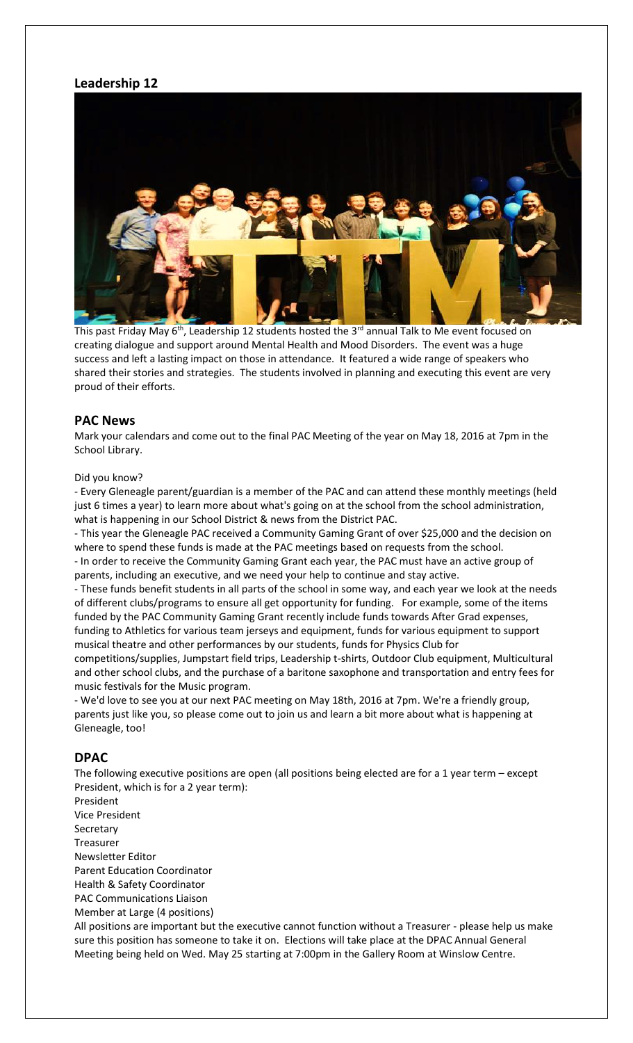### **Leadership 12**



This past Friday May  $6<sup>th</sup>$ , Leadership 12 students hosted the 3<sup>rd</sup> annual Talk to Me event focused on creating dialogue and support around Mental Health and Mood Disorders. The event was a huge success and left a lasting impact on those in attendance. It featured a wide range of speakers who shared their stories and strategies. The students involved in planning and executing this event are very proud of their efforts.

#### **PAC News**

Mark your calendars and come out to the final PAC Meeting of the year on May 18, 2016 at 7pm in the School Library.

#### Did you know?

- Every Gleneagle parent/guardian is a member of the PAC and can attend these monthly meetings (held just 6 times a year) to learn more about what's going on at the school from the school administration, what is happening in our School District & news from the District PAC.

- This year the Gleneagle PAC received a Community Gaming Grant of over \$25,000 and the decision on where to spend these funds is made at the PAC meetings based on requests from the school. - In order to receive the Community Gaming Grant each year, the PAC must have an active group of

parents, including an executive, and we need your help to continue and stay active.

- These funds benefit students in all parts of the school in some way, and each year we look at the needs of different clubs/programs to ensure all get opportunity for funding. For example, some of the items funded by the PAC Community Gaming Grant recently include funds towards After Grad expenses, funding to Athletics for various team jerseys and equipment, funds for various equipment to support musical theatre and other performances by our students, funds for Physics Club for

competitions/supplies, Jumpstart field trips, Leadership t-shirts, Outdoor Club equipment, Multicultural and other school clubs, and the purchase of a baritone saxophone and transportation and entry fees for music festivals for the Music program.

- We'd love to see you at our next PAC meeting on May 18th, 2016 at 7pm. We're a friendly group, parents just like you, so please come out to join us and learn a bit more about what is happening at Gleneagle, too!

#### **DPAC**

The following executive positions are open (all positions being elected are for a 1 year term – except President, which is for a 2 year term):

President Vice President **Secretary** Treasurer Newsletter Editor Parent Education Coordinator Health & Safety Coordinator PAC Communications Liaison Member at Large (4 positions)

All positions are important but the executive cannot function without a Treasurer - please help us make sure this position has someone to take it on. Elections will take place at the DPAC Annual General Meeting being held on Wed. May 25 starting at 7:00pm in the Gallery Room at Winslow Centre.